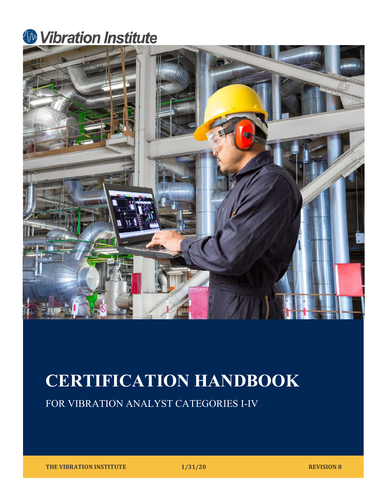## **W** Vibration Institute



# CERTIFICATION HANDBOOK

FOR VIBRATION ANALYST CATEGORIES I-IV

THE VIBRATION INSTITUTE **1/31/20** REVISION 8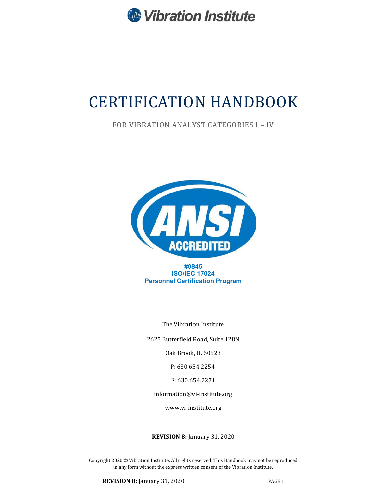

## CERTIFICATION HANDBOOK

FOR VIBRATION ANALYST CATEGORIES I – IV



#0845 ISO/IEC 17024 Personnel Certification Program

The Vibration Institute

2625 Butterfield Road, Suite 128N

Oak Brook, IL 60523

P: 630.654.2254

F: 630.654.2271

information@vi-institute.org

www.vi-institute.org

REVISION 8: January 31, 2020

Copyright 2020 © Vibration Institute. All rights reserved. This Handbook may not be reproduced in any form without the express written consent of the Vibration Institute.

**REVISION 8:** January 31, 2020 PAGE 1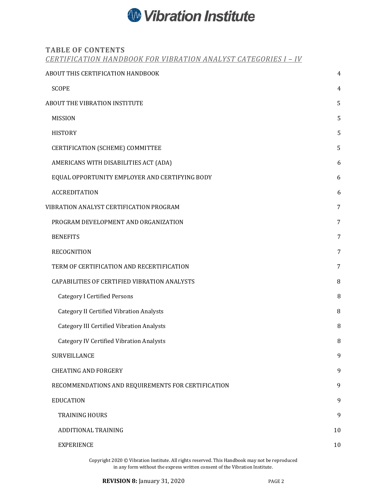## **W** Vibration Institute

## TABLE OF CONTENTS

CERTIFICATION HANDBOOK FOR VIBRATION ANALYST CATEGORIES I – IV

| ABOUT THIS CERTIFICATION HANDBOOK                  | $\overline{4}$ |
|----------------------------------------------------|----------------|
| <b>SCOPE</b>                                       | $\overline{4}$ |
| <b>ABOUT THE VIBRATION INSTITUTE</b>               | 5              |
| <b>MISSION</b>                                     | 5              |
| <b>HISTORY</b>                                     | 5              |
| CERTIFICATION (SCHEME) COMMITTEE                   | 5              |
| AMERICANS WITH DISABILITIES ACT (ADA)              | 6              |
| EQUAL OPPORTUNITY EMPLOYER AND CERTIFYING BODY     | 6              |
| <b>ACCREDITATION</b>                               | 6              |
| VIBRATION ANALYST CERTIFICATION PROGRAM            | 7              |
| PROGRAM DEVELOPMENT AND ORGANIZATION               | 7              |
| <b>BENEFITS</b>                                    | 7              |
| RECOGNITION                                        | 7              |
| TERM OF CERTIFICATION AND RECERTIFICATION          | 7              |
| CAPABILITIES OF CERTIFIED VIBRATION ANALYSTS       | 8              |
| <b>Category I Certified Persons</b>                | 8              |
| <b>Category II Certified Vibration Analysts</b>    | 8              |
| <b>Category III Certified Vibration Analysts</b>   | 8              |
| <b>Category IV Certified Vibration Analysts</b>    | 8              |
| SURVEILLANCE                                       | 9              |
| <b>CHEATING AND FORGERY</b>                        | 9              |
| RECOMMENDATIONS AND REQUIREMENTS FOR CERTIFICATION | 9              |
| <b>EDUCATION</b>                                   | 9              |
| <b>TRAINING HOURS</b>                              | 9              |
| <b>ADDITIONAL TRAINING</b>                         | 10             |
| <b>EXPERIENCE</b>                                  | 10             |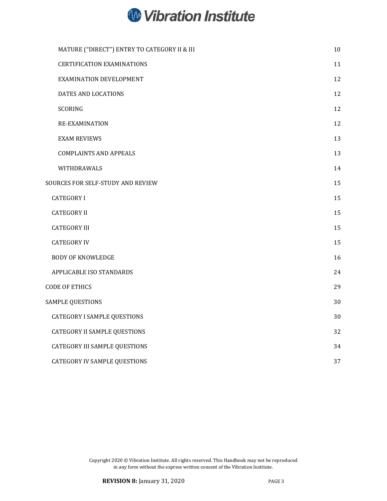

| MATURE ("DIRECT") ENTRY TO CATEGORY II & III | 10 |
|----------------------------------------------|----|
| <b>CERTIFICATION EXAMINATIONS</b>            | 11 |
| EXAMINATION DEVELOPMENT                      | 12 |
| DATES AND LOCATIONS                          | 12 |
| SCORING                                      | 12 |
| <b>RE-EXAMINATION</b>                        | 12 |
| <b>EXAM REVIEWS</b>                          | 13 |
| <b>COMPLAINTS AND APPEALS</b>                | 13 |
| WITHDRAWALS                                  | 14 |
| SOURCES FOR SELF-STUDY AND REVIEW            | 15 |
| <b>CATEGORY I</b>                            | 15 |
| <b>CATEGORY II</b>                           | 15 |
| <b>CATEGORY III</b>                          | 15 |
| <b>CATEGORY IV</b>                           | 15 |
| <b>BODY OF KNOWLEDGE</b>                     | 16 |
| APPLICABLE ISO STANDARDS                     | 24 |
| <b>CODE OF ETHICS</b>                        | 29 |
| <b>SAMPLE QUESTIONS</b>                      | 30 |
| CATEGORY I SAMPLE QUESTIONS                  | 30 |
| <b>CATEGORY II SAMPLE QUESTIONS</b>          | 32 |
| <b>CATEGORY III SAMPLE QUESTIONS</b>         | 34 |
| <b>CATEGORY IV SAMPLE QUESTIONS</b>          | 37 |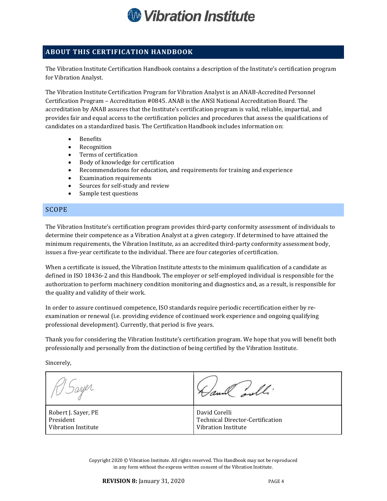

## ABOUT THIS CERTIFICATION HANDBOOK

The Vibration Institute Certification Handbook contains a description of the Institute's certification program for Vibration Analyst.

The Vibration Institute Certification Program for Vibration Analyst is an ANAB-Accredited Personnel Certification Program – Accreditation #0845. ANAB is the ANSI National Accreditation Board. The accreditation by ANAB assures that the Institute's certification program is valid, reliable, impartial, and provides fair and equal access to the certification policies and procedures that assess the qualifications of candidates on a standardized basis. The Certification Handbook includes information on:

- Benefits
- Recognition
- Terms of certification
- Body of knowledge for certification
- Recommendations for education, and requirements for training and experience
- Examination requirements
- Sources for self-study and review
- Sample test questions

#### SCOPE

The Vibration Institute's certification program provides third-party conformity assessment of individuals to determine their competence as a Vibration Analyst at a given category. If determined to have attained the minimum requirements, the Vibration Institute, as an accredited third-party conformity assessment body, issues a five-year certificate to the individual. There are four categories of certification.

When a certificate is issued, the Vibration Institute attests to the minimum qualification of a candidate as defined in ISO 18436-2 and this Handbook. The employer or self-employed individual is responsible for the authorization to perform machinery condition monitoring and diagnostics and, as a result, is responsible for the quality and validity of their work.

In order to assure continued competence, ISO standards require periodic recertification either by reexamination or renewal (i.e. providing evidence of continued work experience and ongoing qualifying professional development). Currently, that period is five years.

Thank you for considering the Vibration Institute's certification program. We hope that you will benefit both professionally and personally from the distinction of being certified by the Vibration Institute.

Sincerely,

al will. Robert J. Sayer, PE David Corelli President Technical Director-Certification Vibration Institute Vibration Institute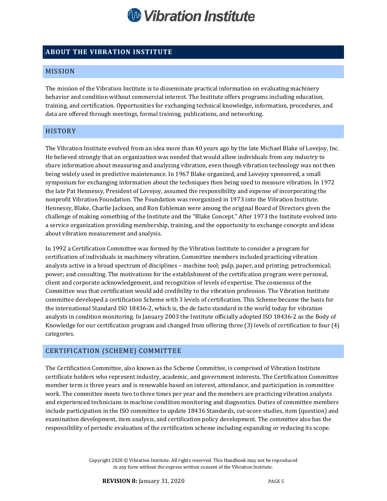

## ABOUT THE VIBRATION INSTITUTE

### MISSION

The mission of the Vibration Institute is to disseminate practical information on evaluating machinery behavior and condition without commercial interest. The Institute offers programs including education, training, and certification. Opportunities for exchanging technical knowledge, information, procedures, and data are offered through meetings, formal training, publications, and networking.

#### HISTORY

The Vibration Institute evolved from an idea more than 40 years ago by the late Michael Blake of Lovejoy, Inc. He believed strongly that an organization was needed that would allow individuals from any industry to share information about measuring and analyzing vibration, even though vibration technology was not then being widely used in predictive maintenance. In 1967 Blake organized, and Lovejoy sponsored, a small symposium for exchanging information about the techniques then being used to measure vibration. In 1972 the late Pat Hennessy, President of Lovejoy, assumed the responsibility and expense of incorporating the nonprofit Vibration Foundation. The Foundation was reorganized in 1973 into the Vibration Institute. Hennessy, Blake, Charlie Jackson, and Ron Eshleman were among the original Board of Directors given the challenge of making something of the Institute and the "Blake Concept." After 1973 the Institute evolved into a service organization providing membership, training, and the opportunity to exchange concepts and ideas about vibration measurement and analysis.

In 1992 a Certification Committee was formed by the Vibration Institute to consider a program for certification of individuals in machinery vibration. Committee members included practicing vibration analysts active in a broad spectrum of disciplines – machine tool; pulp, paper, and printing; petrochemical; power; and consulting. The motivations for the establishment of the certification program were personal, client and corporate acknowledgement, and recognition of levels of expertise. The consensus of the Committee was that certification would add credibility to the vibration profession. The Vibration Institute committee developed a certification Scheme with 3 levels of certification. This Scheme became the basis for the international Standard ISO 18436-2, which is, the de facto standard in the world today for vibration analysts in condition monitoring. In January 2003 the Institute officially adopted ISO 18436-2 as the Body of Knowledge for our certification program and changed from offering three (3) levels of certification to four (4) categories.

#### CERTIFICATION (SCHEME) COMMITTEE

The Certification Committee, also known as the Scheme Committee, is comprised of Vibration Institute certificate holders who represent industry, academic, and government interests. The Certification Committee member term is three years and is renewable based on interest, attendance, and participation in committee work. The committee meets two to three times per year and the members are practicing vibration analysts and experienced technicians in machine condition monitoring and diagnostics. Duties of committee members include participation in the ISO committee to update 18436 Standards, cut-score studies, item (question) and examination development, item analysis, and certification policy development. The committee also has the responsibility of periodic evaluation of the certification scheme including expanding or reducing its scope.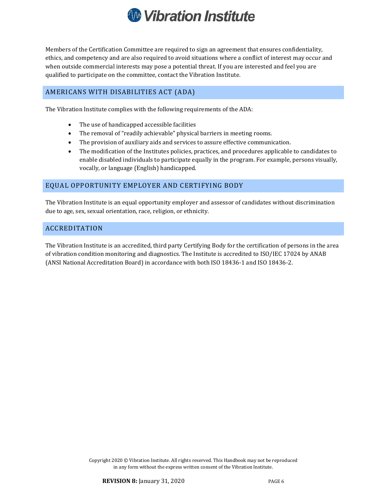

Members of the Certification Committee are required to sign an agreement that ensures confidentiality, ethics, and competency and are also required to avoid situations where a conflict of interest may occur and when outside commercial interests may pose a potential threat. If you are interested and feel you are qualified to participate on the committee, contact the Vibration Institute.

## AMERICANS WITH DISABILITIES ACT (ADA)

The Vibration Institute complies with the following requirements of the ADA:

- The use of handicapped accessible facilities
- The removal of "readily achievable" physical barriers in meeting rooms.
- The provision of auxiliary aids and services to assure effective communication.
- The modification of the Institutes policies, practices, and procedures applicable to candidates to enable disabled individuals to participate equally in the program. For example, persons visually, vocally, or language (English) handicapped.

#### EQUAL OPPORTUNITY EMPLOYER AND CERTIFYING BODY

The Vibration Institute is an equal opportunity employer and assessor of candidates without discrimination due to age, sex, sexual orientation, race, religion, or ethnicity.

#### ACCREDITATION

The Vibration Institute is an accredited, third party Certifying Body for the certification of persons in the area of vibration condition monitoring and diagnostics. The Institute is accredited to ISO/IEC 17024 by ANAB (ANSI National Accreditation Board) in accordance with both ISO 18436-1 and ISO 18436-2.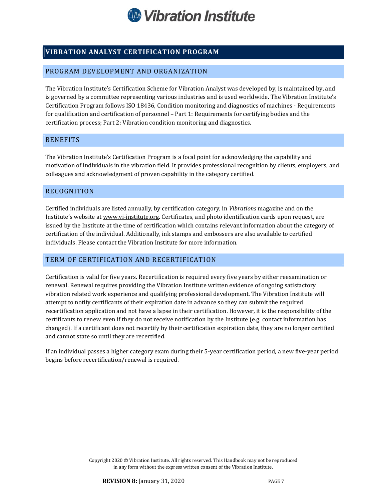

## VIBRATION ANALYST CERTIFICATION PROGRAM

#### PROGRAM DEVELOPMENT AND ORGANIZATION

The Vibration Institute's Certification Scheme for Vibration Analyst was developed by, is maintained by, and is governed by a committee representing various industries and is used worldwide. The Vibration Institute's Certification Program follows ISO 18436, Condition monitoring and diagnostics of machines - Requirements for qualification and certification of personnel – Part 1: Requirements for certifying bodies and the certification process; Part 2: Vibration condition monitoring and diagnostics.

## **BENEFITS**

The Vibration Institute's Certification Program is a focal point for acknowledging the capability and motivation of individuals in the vibration field. It provides professional recognition by clients, employers, and colleagues and acknowledgment of proven capability in the category certified.

#### RECOGNITION

Certified individuals are listed annually, by certification category, in Vibrations magazine and on the Institute's website at www.vi-institute.org. Certificates, and photo identification cards upon request, are issued by the Institute at the time of certification which contains relevant information about the category of certification of the individual. Additionally, ink stamps and embossers are also available to certified individuals. Please contact the Vibration Institute for more information.

## TERM OF CERTIFICATION AND RECERTIFICATION

Certification is valid for five years. Recertification is required every five years by either reexamination or renewal. Renewal requires providing the Vibration Institute written evidence of ongoing satisfactory vibration related work experience and qualifying professional development. The Vibration Institute will attempt to notify certificants of their expiration date in advance so they can submit the required recertification application and not have a lapse in their certification. However, it is the responsibility of the certificants to renew even if they do not receive notification by the Institute (e.g. contact information has changed). If a certificant does not recertify by their certification expiration date, they are no longer certified and cannot state so until they are recertified.

If an individual passes a higher category exam during their 5-year certification period, a new five-year period begins before recertification/renewal is required.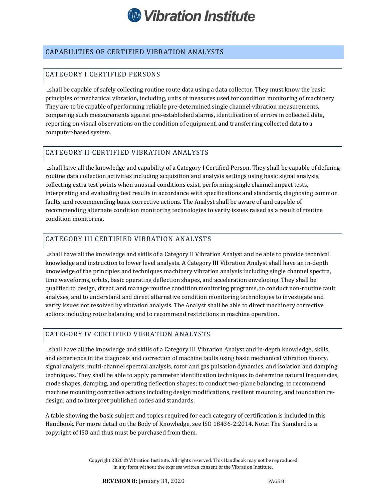

## CAPABILITIES OF CERTIFIED VIBRATION ANALYSTS

## CATEGORY I CERTIFIED PERSONS

...shall be capable of safely collecting routine route data using a data collector. They must know the basic principles of mechanical vibration, including, units of measures used for condition monitoring of machinery. They are to be capable of performing reliable pre-determined single channel vibration measurements, comparing such measurements against pre-established alarms, identification of errors in collected data, reporting on visual observations on the condition of equipment, and transferring collected data to a computer-based system.

## CATEGORY II CERTIFIED VIBRATION ANALYSTS

...shall have all the knowledge and capability of a Category I Certified Person. They shall be capable of defining routine data collection activities including acquisition and analysis settings using basic signal analysis, collecting extra test points when unusual conditions exist, performing single channel impact tests, interpreting and evaluating test results in accordance with specifications and standards, diagnosing common faults, and recommending basic corrective actions. The Analyst shall be aware of and capable of recommending alternate condition monitoring technologies to verify issues raised as a result of routine condition monitoring.

#### CATEGORY III CERTIFIED VIBRATION ANALYSTS

...shall have all the knowledge and skills of a Category II Vibration Analyst and be able to provide technical knowledge and instruction to lower level analysts. A Category III Vibration Analyst shall have an in-depth knowledge of the principles and techniques machinery vibration analysis including single channel spectra, time waveforms, orbits, basic operating deflection shapes, and acceleration enveloping. They shall be qualified to design, direct, and manage routine condition monitoring programs, to conduct non-routine fault analyses, and to understand and direct alternative condition monitoring technologies to investigate and verify issues not resolved by vibration analysis. The Analyst shall be able to direct machinery corrective actions including rotor balancing and to recommend restrictions in machine operation.

## CATEGORY IV CERTIFIED VIBRATION ANALYSTS

...shall have all the knowledge and skills of a Category III Vibration Analyst and in-depth knowledge, skills, and experience in the diagnosis and correction of machine faults using basic mechanical vibration theory, signal analysis, multi-channel spectral analysis, rotor and gas pulsation dynamics, and isolation and damping techniques. They shall be able to apply parameter identification techniques to determine natural frequencies, mode shapes, damping, and operating deflection shapes; to conduct two-plane balancing; to recommend machine mounting corrective actions including design modifications, resilient mounting, and foundation redesign; and to interpret published codes and standards.

A table showing the basic subject and topics required for each category of certification is included in this Handbook. For more detail on the Body of Knowledge, see ISO 18436-2:2014. Note: The Standard is a copyright of ISO and thus must be purchased from them.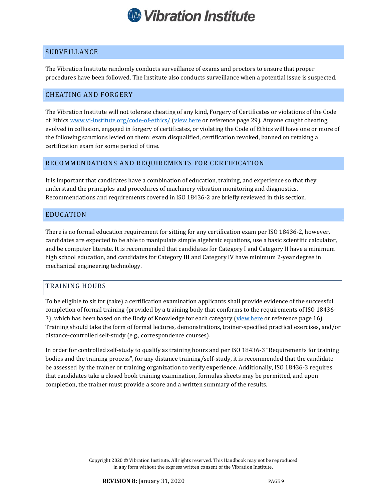

#### SURVEILLANCE

The Vibration Institute randomly conducts surveillance of exams and proctors to ensure that proper procedures have been followed. The Institute also conducts surveillance when a potential issue is suspected.

#### CHEATING AND FORGERY

The Vibration Institute will not tolerate cheating of any kind, Forgery of Certificates or violations of the Code of Ethics www.vi-institute.org/code-of-ethics/ (view here or reference page 29). Anyone caught cheating, evolved in collusion, engaged in forgery of certificates, or violating the Code of Ethics will have one or more of the following sanctions levied on them: exam disqualified, certification revoked, banned on retaking a certification exam for some period of time.

#### RECOMMENDATIONS AND REQUIREMENTS FOR CERTIFICATION

It is important that candidates have a combination of education, training, and experience so that they understand the principles and procedures of machinery vibration monitoring and diagnostics. Recommendations and requirements covered in ISO 18436-2 are briefly reviewed in this section.

#### EDUCATION

There is no formal education requirement for sitting for any certification exam per ISO 18436-2, however, candidates are expected to be able to manipulate simple algebraic equations, use a basic scientific calculator, and be computer literate. It is recommended that candidates for Category I and Category II have a minimum high school education, and candidates for Category III and Category IV have minimum 2-year degree in mechanical engineering technology.

#### TRAINING HOURS

To be eligible to sit for (take) a certification examination applicants shall provide evidence of the successful completion of formal training (provided by a training body that conforms to the requirements of ISO 18436- 3), which has been based on the Body of Knowledge for each category (view here or reference page 16). Training should take the form of formal lectures, demonstrations, trainer-specified practical exercises, and/or distance-controlled self-study (e.g., correspondence courses).

In order for controlled self-study to qualify as training hours and per ISO 18436-3 "Requirements for training bodies and the training process", for any distance training/self-study, it is recommended that the candidate be assessed by the trainer or training organization to verify experience. Additionally, ISO 18436-3 requires that candidates take a closed book training examination, formulas sheets may be permitted, and upon completion, the trainer must provide a score and a written summary of the results.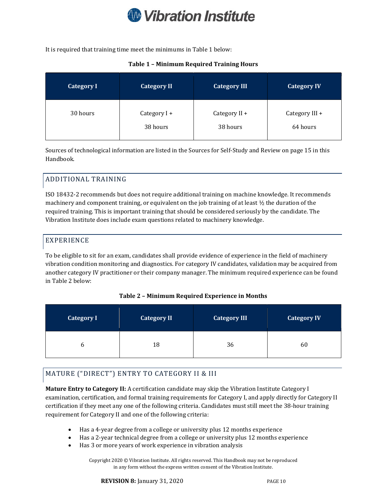

It is required that training time meet the minimums in Table 1 below:

#### Table 1 – Minimum Required Training Hours

| <b>Category I</b> | <b>Category II</b> | <b>Category III</b> | <b>Category IV</b> |
|-------------------|--------------------|---------------------|--------------------|
| 30 hours          | Category I +       | Category II +       | Category III +     |
|                   | 38 hours           | 38 hours            | 64 hours           |

Sources of technological information are listed in the Sources for Self-Study and Review on page 15 in this Handbook.

## ADDITIONAL TRAINING

ISO 18432-2 recommends but does not require additional training on machine knowledge. It recommends machinery and component training, or equivalent on the job training of at least  $\frac{1}{2}$  the duration of the required training. This is important training that should be considered seriously by the candidate. The Vibration Institute does include exam questions related to machinery knowledge.

## EXPERIENCE

To be eligible to sit for an exam, candidates shall provide evidence of experience in the field of machinery vibration condition monitoring and diagnostics. For category IV candidates, validation may be acquired from another category IV practitioner or their company manager. The minimum required experience can be found in Table 2 below:

#### Table 2 – Minimum Required Experience in Months

| <b>Category I</b> | <b>Category II</b> | <b>Category III</b> | <b>Category IV</b> |
|-------------------|--------------------|---------------------|--------------------|
|                   | 18                 | 36                  | 60                 |

## MATURE ("DIRECT") ENTRY TO CATEGORY II & III

Mature Entry to Category II: A certification candidate may skip the Vibration Institute Category I examination, certification, and formal training requirements for Category I, and apply directly for Category II certification if they meet any one of the following criteria. Candidates must still meet the 38-hour training requirement for Category II and one of the following criteria:

- Has a 4-year degree from a college or university plus 12 months experience
- Has a 2-year technical degree from a college or university plus 12 months experience
- Has 3 or more years of work experience in vibration analysis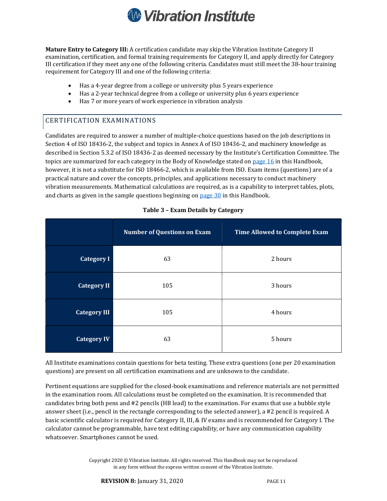

Mature Entry to Category III: A certification candidate may skip the Vibration Institute Category II examination, certification, and formal training requirements for Category II, and apply directly for Category III certification if they meet any one of the following criteria. Candidates must still meet the 38-hour training requirement for Category III and one of the following criteria:

- Has a 4-year degree from a college or university plus 5 years experience
- Has a 2-year technical degree from a college or university plus 6 years experience
- Has 7 or more years of work experience in vibration analysis

## CERTIFICATION EXAMINATIONS

Candidates are required to answer a number of multiple-choice questions based on the job descriptions in Section 4 of ISO 18436-2, the subject and topics in Annex A of ISO 18436-2, and machinery knowledge as described in Section 5.3.2 of ISO 18436-2 as deemed necessary by the Institute's Certification Committee. The topics are summarized for each category in the Body of Knowledge stated on page 16 in this Handbook, however, it is not a substitute for ISO 18466-2, which is available from ISO. Exam items (questions) are of a practical nature and cover the concepts, principles, and applications necessary to conduct machinery vibration measurements. Mathematical calculations are required, as is a capability to interpret tables, plots, and charts as given in the sample questions beginning on page 30 in this Handbook.

|                     | <b>Number of Questions on Exam</b> | <b>Time Allowed to Complete Exam</b> |
|---------------------|------------------------------------|--------------------------------------|
| <b>Category I</b>   | 63                                 | 2 hours                              |
| <b>Category II</b>  | 105                                | 3 hours                              |
| <b>Category III</b> | 105                                | 4 hours                              |
| <b>Category IV</b>  | 63                                 | 5 hours                              |

#### Table 3 – Exam Details by Category

All Institute examinations contain questions for beta testing. These extra questions (one per 20 examination questions) are present on all certification examinations and are unknown to the candidate.

Pertinent equations are supplied for the closed-book examinations and reference materials are not permitted in the examination room. All calculations must be completed on the examination. It is recommended that candidates bring both pens and #2 pencils (HB lead) to the examination. For exams that use a bubble style answer sheet (i.e., pencil in the rectangle corresponding to the selected answer), a #2 pencil is required. A basic scientific calculator is required for Category II, III, & IV exams and is recommended for Category I. The calculator cannot be programmable, have text editing capability, or have any communication capability whatsoever. Smartphones cannot be used.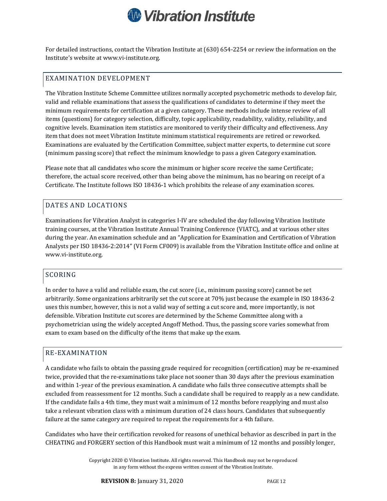

For detailed instructions, contact the Vibration Institute at (630) 654-2254 or review the information on the Institute's website at www.vi-institute.org.

## EXAMINATION DEVELOPMENT

The Vibration Institute Scheme Committee utilizes normally accepted psychometric methods to develop fair, valid and reliable examinations that assess the qualifications of candidates to determine if they meet the minimum requirements for certification at a given category. These methods include intense review of all items (questions) for category selection, difficulty, topic applicability, readability, validity, reliability, and cognitive levels. Examination item statistics are monitored to verify their difficulty and effectiveness. Any item that does not meet Vibration Institute minimum statistical requirements are retired or reworked. Examinations are evaluated by the Certification Committee, subject matter experts, to determine cut score (minimum passing score) that reflect the minimum knowledge to pass a given Category examination.

Please note that all candidates who score the minimum or higher score receive the same Certificate; therefore, the actual score received, other than being above the minimum, has no bearing on receipt of a Certificate. The Institute follows ISO 18436-1 which prohibits the release of any examination scores.

#### DATES AND LOCATIONS

Examinations for Vibration Analyst in categories I-IV are scheduled the day following Vibration Institute training courses, at the Vibration Institute Annual Training Conference (VIATC), and at various other sites during the year. An examination schedule and an "Application for Examination and Certification of Vibration Analysts per ISO 18436-2:2014" (VI Form CF009) is available from the Vibration Institute office and online at www.vi-institute.org.

## SCORING

In order to have a valid and reliable exam, the cut score (i.e., minimum passing score) cannot be set arbitrarily. Some organizations arbitrarily set the cut score at 70% just because the example in ISO 18436-2 uses this number, however, this is not a valid way of setting a cut score and, more importantly, is not defensible. Vibration Institute cut scores are determined by the Scheme Committee along with a psychometrician using the widely accepted Angoff Method. Thus, the passing score varies somewhat from exam to exam based on the difficulty of the items that make up the exam.

#### RE-EXAMINATION

A candidate who fails to obtain the passing grade required for recognition (certification) may be re-examined twice, provided that the re-examinations take place not sooner than 30 days after the previous examination and within 1-year of the previous examination. A candidate who fails three consecutive attempts shall be excluded from reassessment for 12 months. Such a candidate shall be required to reapply as a new candidate. If the candidate fails a 4th time, they must wait a minimum of 12 months before reapplying and must also take a relevant vibration class with a minimum duration of 24 class hours. Candidates that subsequently failure at the same category are required to repeat the requirements for a 4th failure.

Candidates who have their certification revoked for reasons of unethical behavior as described in part in the CHEATING and FORGERY section of this Handbook must wait a minimum of 12 months and possibly longer,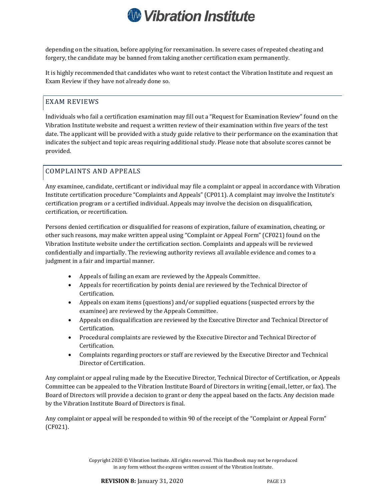

depending on the situation, before applying for reexamination. In severe cases of repeated cheating and forgery, the candidate may be banned from taking another certification exam permanently.

It is highly recommended that candidates who want to retest contact the Vibration Institute and request an Exam Review if they have not already done so.

## EXAM REVIEWS

Individuals who fail a certification examination may fill out a "Request for Examination Review" found on the Vibration Institute website and request a written review of their examination within five years of the test date. The applicant will be provided with a study guide relative to their performance on the examination that indicates the subject and topic areas requiring additional study. Please note that absolute scores cannot be provided.

#### COMPLAINTS AND APPEALS

Any examinee, candidate, certificant or individual may file a complaint or appeal in accordance with Vibration Institute certification procedure "Complaints and Appeals" (CP011). A complaint may involve the Institute's certification program or a certified individual. Appeals may involve the decision on disqualification, certification, or recertification.

Persons denied certification or disqualified for reasons of expiration, failure of examination, cheating, or other such reasons, may make written appeal using "Complaint or Appeal Form" (CF021) found on the Vibration Institute website under the certification section. Complaints and appeals will be reviewed confidentially and impartially. The reviewing authority reviews all available evidence and comes to a judgment in a fair and impartial manner.

- Appeals of failing an exam are reviewed by the Appeals Committee.
- Appeals for recertification by points denial are reviewed by the Technical Director of Certification.
- Appeals on exam items (questions) and/or supplied equations (suspected errors by the examinee) are reviewed by the Appeals Committee.
- Appeals on disqualification are reviewed by the Executive Director and Technical Director of Certification.
- Procedural complaints are reviewed by the Executive Director and Technical Director of Certification.
- Complaints regarding proctors or staff are reviewed by the Executive Director and Technical Director of Certification.

Any complaint or appeal ruling made by the Executive Director, Technical Director of Certification, or Appeals Committee can be appealed to the Vibration Institute Board of Directors in writing (email, letter, or fax). The Board of Directors will provide a decision to grant or deny the appeal based on the facts. Any decision made by the Vibration Institute Board of Directors is final.

Any complaint or appeal will be responded to within 90 of the receipt of the "Complaint or Appeal Form" (CF021).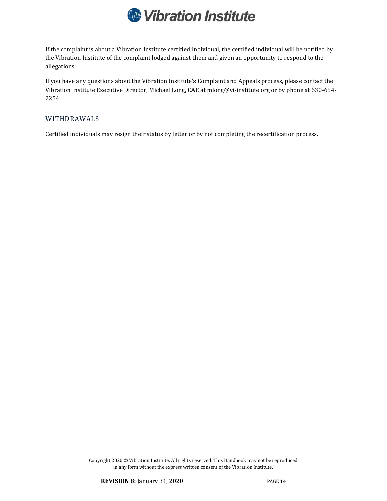

If the complaint is about a Vibration Institute certified individual, the certified individual will be notified by the Vibration Institute of the complaint lodged against them and given an opportunity to respond to the allegations.

If you have any questions about the Vibration Institute's Complaint and Appeals process, please contact the Vibration Institute Executive Director, Michael Long, CAE at mlong@vi-institute.org or by phone at 630-654- 2254.

## WITHDRAWALS

Certified individuals may resign their status by letter or by not completing the recertification process.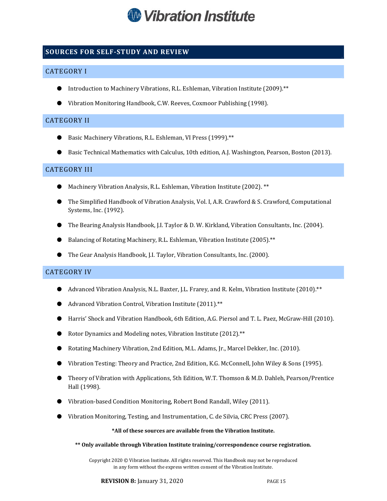

## SOURCES FOR SELF-STUDY AND REVIEW

### CATEGORY I

- Introduction to Machinery Vibrations, R.L. Eshleman, Vibration Institute (2009).\*\*
- Vibration Monitoring Handbook, C.W. Reeves, Coxmoor Publishing (1998).

#### CATEGORY II

- Basic Machinery Vibrations, R.L. Eshleman, VI Press (1999). \*\*
- Basic Technical Mathematics with Calculus, 10th edition, A.J. Washington, Pearson, Boston (2013).

#### CATEGORY III

- Machinery Vibration Analysis, R.L. Eshleman, Vibration Institute (2002). \*\*
- The Simplified Handbook of Vibration Analysis, Vol. I, A.R. Crawford & S. Crawford, Computational Systems, Inc. (1992).
- The Bearing Analysis Handbook, J.I. Taylor & D. W. Kirkland, Vibration Consultants, Inc. (2004).
- Balancing of Rotating Machinery, R.L. Eshleman, Vibration Institute (2005). \*\*
- The Gear Analysis Handbook, J.I. Taylor, Vibration Consultants, Inc. (2000).

#### CATEGORY IV

- Advanced Vibration Analysis, N.L. Baxter, J.L. Frarey, and R. Kelm, Vibration Institute (2010). \*\*
- Advanced Vibration Control, Vibration Institute (2011). \*\*
- Harris' Shock and Vibration Handbook, 6th Edition, A.G. Piersol and T. L. Paez, McGraw-Hill (2010).
- Rotor Dynamics and Modeling notes, Vibration Institute (2012). \*\*
- Rotating Machinery Vibration, 2nd Edition, M.L. Adams, Jr., Marcel Dekker, Inc. (2010).
- Vibration Testing: Theory and Practice, 2nd Edition, K.G. McConnell, John Wiley & Sons (1995).
- Theory of Vibration with Applications, 5th Edition, W.T. Thomson & M.D. Dahleh, Pearson/Prentice Hall (1998).
- Vibration-based Condition Monitoring, Robert Bond Randall, Wiley (2011).
- Vibration Monitoring, Testing, and Instrumentation, C. de Silvia, CRC Press (2007).

#### \*All of these sources are available from the Vibration Institute.

\*\* Only available through Vibration Institute training/correspondence course registration.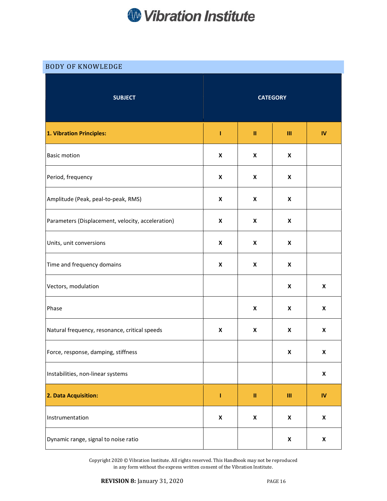

## BODY OF KNOWLEDGE

| <b>SUBJECT</b>                                    | <b>CATEGORY</b>    |                                                                                                                                                                                                                                                                                                                                                                                                                                                        |                    |                    |
|---------------------------------------------------|--------------------|--------------------------------------------------------------------------------------------------------------------------------------------------------------------------------------------------------------------------------------------------------------------------------------------------------------------------------------------------------------------------------------------------------------------------------------------------------|--------------------|--------------------|
| 1. Vibration Principles:                          | I                  | $\mathbf{H}% =\mathbf{H}(\mathbf{Q}^{T}\times\mathbf{R}^{T}\times\mathbf{R}^{T}\times\mathbf{R}^{T}\times\mathbf{R}^{T}\times\mathbf{R}^{T}\times\mathbf{R}^{T}\times\mathbf{R}^{T}\times\mathbf{R}^{T}\times\mathbf{R}^{T}\times\mathbf{R}^{T}\times\mathbf{R}^{T}\times\mathbf{R}^{T}\times\mathbf{R}^{T}\times\mathbf{R}^{T}\times\mathbf{R}^{T}\times\mathbf{R}^{T}\times\mathbf{R}^{T}\times\mathbf{R}^{T}\times\mathbf{R}^{T}\times\mathbf{R}^{$ | Ш                  | ${\sf IV}$         |
| <b>Basic motion</b>                               | X                  | X                                                                                                                                                                                                                                                                                                                                                                                                                                                      | $\pmb{\mathsf{X}}$ |                    |
| Period, frequency                                 | $\pmb{\mathsf{X}}$ | X                                                                                                                                                                                                                                                                                                                                                                                                                                                      | $\pmb{\mathsf{X}}$ |                    |
| Amplitude (Peak, peal-to-peak, RMS)               | $\pmb{\mathsf{X}}$ | X                                                                                                                                                                                                                                                                                                                                                                                                                                                      | $\pmb{\mathsf{X}}$ |                    |
| Parameters (Displacement, velocity, acceleration) | X                  | X                                                                                                                                                                                                                                                                                                                                                                                                                                                      | X                  |                    |
| Units, unit conversions                           | X                  | X                                                                                                                                                                                                                                                                                                                                                                                                                                                      | X                  |                    |
| Time and frequency domains                        | $\pmb{\mathsf{x}}$ | X                                                                                                                                                                                                                                                                                                                                                                                                                                                      | $\pmb{\mathsf{X}}$ |                    |
| Vectors, modulation                               |                    |                                                                                                                                                                                                                                                                                                                                                                                                                                                        | $\pmb{\mathsf{x}}$ | $\pmb{\mathsf{x}}$ |
| Phase                                             |                    | $\pmb{\mathsf{X}}$                                                                                                                                                                                                                                                                                                                                                                                                                                     | $\pmb{\mathsf{x}}$ | X                  |
| Natural frequency, resonance, critical speeds     | X                  | X                                                                                                                                                                                                                                                                                                                                                                                                                                                      | $\pmb{\mathsf{x}}$ | $\pmb{\mathsf{x}}$ |
| Force, response, damping, stiffness               |                    |                                                                                                                                                                                                                                                                                                                                                                                                                                                        | X                  | X                  |
| Instabilities, non-linear systems                 |                    |                                                                                                                                                                                                                                                                                                                                                                                                                                                        |                    | $\pmb{\mathsf{X}}$ |
| 2. Data Acquisition:                              | I                  | $\mathbf{H}% =\mathbf{H}^{T}\mathbf{v}^{T}\mathbf{v}^{T}\mathbf{v}^{T}+\mathbf{H}^{T}\mathbf{v}^{T}\mathbf{v}^{T}+\mathbf{H}^{T}\mathbf{v}^{T}\mathbf{v}^{T}$                                                                                                                                                                                                                                                                                          | Ш                  | ${\sf IV}$         |
| Instrumentation                                   | $\pmb{\mathsf{x}}$ | $\pmb{\mathsf{x}}$                                                                                                                                                                                                                                                                                                                                                                                                                                     | $\pmb{\mathsf{X}}$ | $\pmb{\mathsf{X}}$ |
| Dynamic range, signal to noise ratio              |                    |                                                                                                                                                                                                                                                                                                                                                                                                                                                        | $\pmb{\mathsf{X}}$ | $\pmb{\mathsf{X}}$ |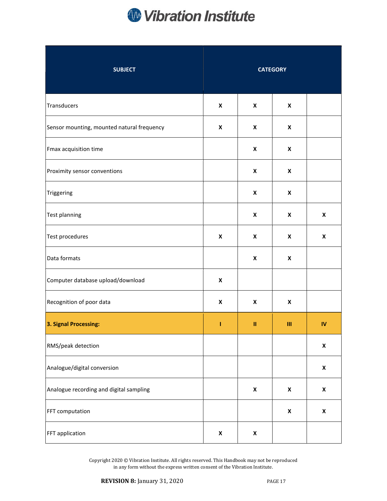

| <b>SUBJECT</b>                             | <b>CATEGORY</b>    |                    |                    |                    |
|--------------------------------------------|--------------------|--------------------|--------------------|--------------------|
| Transducers                                | $\pmb{\mathsf{X}}$ | X                  | $\pmb{\mathsf{X}}$ |                    |
| Sensor mounting, mounted natural frequency | X                  | X                  | $\pmb{\mathsf{X}}$ |                    |
| Fmax acquisition time                      |                    | X                  | $\pmb{\mathsf{X}}$ |                    |
| Proximity sensor conventions               |                    | $\pmb{\mathsf{X}}$ | $\pmb{\mathsf{X}}$ |                    |
| Triggering                                 |                    | $\pmb{\mathsf{X}}$ | $\pmb{\mathsf{X}}$ |                    |
| Test planning                              |                    | $\pmb{\mathsf{X}}$ | $\pmb{\mathsf{x}}$ | $\pmb{\mathsf{X}}$ |
| Test procedures                            | $\pmb{\mathsf{x}}$ | X                  | $\pmb{\mathsf{X}}$ | $\pmb{\mathsf{X}}$ |
| Data formats                               |                    | $\pmb{\mathsf{X}}$ | $\pmb{\mathsf{X}}$ |                    |
| Computer database upload/download          | $\pmb{\mathsf{X}}$ |                    |                    |                    |
| Recognition of poor data                   | $\pmb{\mathsf{X}}$ | X                  | X                  |                    |
| 3. Signal Processing:                      | I                  | $\mathbf{II}$      | Ш                  | ${\sf IV}$         |
| RMS/peak detection                         |                    |                    |                    | $\pmb{\mathsf{X}}$ |
| Analogue/digital conversion                |                    |                    |                    | $\pmb{\mathsf{X}}$ |
| Analogue recording and digital sampling    |                    | $\pmb{\mathsf{x}}$ | $\pmb{\mathsf{x}}$ | $\pmb{\mathsf{x}}$ |
| FFT computation                            |                    |                    | $\pmb{\mathsf{x}}$ | $\pmb{\mathsf{X}}$ |
| FFT application                            | $\pmb{\mathsf{X}}$ | $\pmb{\mathsf{x}}$ |                    |                    |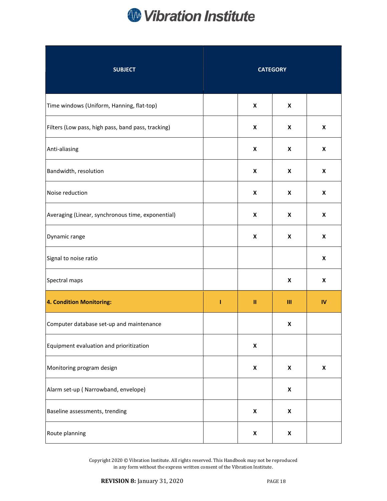

| <b>SUBJECT</b>                                     |   |                    | <b>CATEGORY</b>    |                    |
|----------------------------------------------------|---|--------------------|--------------------|--------------------|
| Time windows (Uniform, Hanning, flat-top)          |   | X                  | X                  |                    |
| Filters (Low pass, high pass, band pass, tracking) |   | X                  | X                  | X                  |
| Anti-aliasing                                      |   | X                  | X                  | X                  |
| Bandwidth, resolution                              |   | X                  | $\pmb{\mathsf{X}}$ | X                  |
| Noise reduction                                    |   | X                  | $\pmb{\mathsf{X}}$ | X                  |
| Averaging (Linear, synchronous time, exponential)  |   | X                  | $\pmb{\mathsf{X}}$ | X                  |
| Dynamic range                                      |   | X                  | $\pmb{\mathsf{X}}$ | X                  |
| Signal to noise ratio                              |   |                    |                    | $\pmb{\mathsf{x}}$ |
| Spectral maps                                      |   |                    | X                  | X                  |
| 4. Condition Monitoring:                           | T | Ш                  | Ш                  | $\mathbf{N}$       |
| Computer database set-up and maintenance           |   |                    | X                  |                    |
| Equipment evaluation and prioritization            |   | $\pmb{\mathsf{X}}$ |                    |                    |
| Monitoring program design                          |   | X                  | $\pmb{\mathsf{X}}$ | $\pmb{\mathsf{x}}$ |
| Alarm set-up (Narrowband, envelope)                |   |                    | $\pmb{\mathsf{X}}$ |                    |
| Baseline assessments, trending                     |   | $\pmb{\mathsf{x}}$ | $\pmb{\mathsf{x}}$ |                    |
| Route planning                                     |   | $\pmb{\mathsf{X}}$ | $\pmb{\mathsf{X}}$ |                    |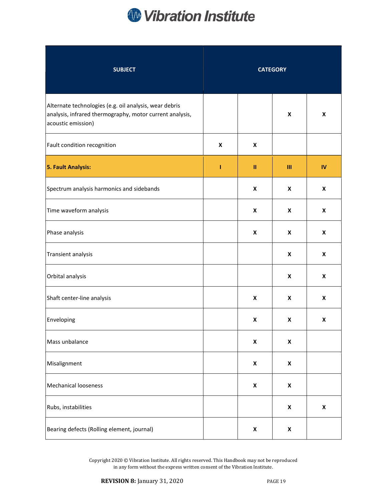

| <b>SUBJECT</b>                                                                                                                           | <b>CATEGORY</b>    |                    |                           |                    |
|------------------------------------------------------------------------------------------------------------------------------------------|--------------------|--------------------|---------------------------|--------------------|
| Alternate technologies (e.g. oil analysis, wear debris<br>analysis, infrared thermography, motor current analysis,<br>acoustic emission) |                    |                    | X                         | X                  |
| Fault condition recognition                                                                                                              | $\pmb{\mathsf{x}}$ | X                  |                           |                    |
| <b>5. Fault Analysis:</b>                                                                                                                | T                  | Ш                  | Ш                         | IV                 |
| Spectrum analysis harmonics and sidebands                                                                                                |                    | X                  | X                         | X                  |
| Time waveform analysis                                                                                                                   |                    | X                  | X                         | X                  |
| Phase analysis                                                                                                                           |                    | $\pmb{\mathsf{x}}$ | $\pmb{\times}$            | X                  |
| Transient analysis                                                                                                                       |                    |                    | $\pmb{\times}$            | X                  |
| Orbital analysis                                                                                                                         |                    |                    | $\pmb{\times}$            | X                  |
| Shaft center-line analysis                                                                                                               |                    | $\pmb{\mathsf{x}}$ | $\boldsymbol{\mathsf{x}}$ | X                  |
| Enveloping                                                                                                                               |                    | X                  | X                         | X                  |
| Mass unbalance                                                                                                                           |                    | X                  | $\pmb{\mathsf{X}}$        |                    |
| Misalignment                                                                                                                             |                    | $\pmb{\mathsf{x}}$ | $\pmb{\mathsf{x}}$        |                    |
| <b>Mechanical looseness</b>                                                                                                              |                    | X                  | $\pmb{\mathsf{X}}$        |                    |
| Rubs, instabilities                                                                                                                      |                    |                    | $\pmb{\mathsf{X}}$        | $\pmb{\mathsf{x}}$ |
| Bearing defects (Rolling element, journal)                                                                                               |                    | X                  | X                         |                    |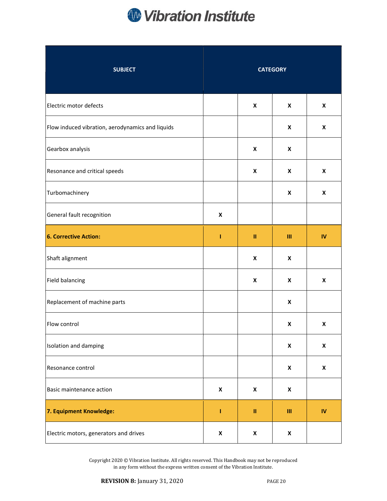

| <b>SUBJECT</b>                                   | <b>CATEGORY</b>    |                    |                    |                    |
|--------------------------------------------------|--------------------|--------------------|--------------------|--------------------|
| Electric motor defects                           |                    | X                  | $\pmb{\mathsf{x}}$ | X                  |
| Flow induced vibration, aerodynamics and liquids |                    |                    | X                  | X                  |
| Gearbox analysis                                 |                    | $\pmb{\mathsf{X}}$ | $\pmb{\mathsf{x}}$ |                    |
| Resonance and critical speeds                    |                    | $\pmb{\mathsf{X}}$ | $\pmb{\mathsf{x}}$ | $\pmb{\mathsf{X}}$ |
| Turbomachinery                                   |                    |                    | $\pmb{\mathsf{x}}$ | X                  |
| General fault recognition                        | X                  |                    |                    |                    |
| 6. Corrective Action:                            | T                  | $\mathbf{II}$      | Ш                  | $\mathbf W$        |
| Shaft alignment                                  |                    | $\pmb{\mathsf{x}}$ | $\pmb{\mathsf{x}}$ |                    |
| Field balancing                                  |                    | X                  | $\pmb{\mathsf{x}}$ | X                  |
| Replacement of machine parts                     |                    |                    | $\pmb{\mathsf{x}}$ |                    |
| Flow control                                     |                    |                    | $\pmb{\mathsf{x}}$ | X                  |
| Isolation and damping                            |                    |                    | $\pmb{\mathsf{X}}$ | $\pmb{\mathsf{X}}$ |
| Resonance control                                |                    |                    | $\pmb{\mathsf{x}}$ | $\pmb{\mathsf{X}}$ |
| <b>Basic maintenance action</b>                  | $\pmb{\mathsf{x}}$ | $\pmb{\mathsf{x}}$ | $\pmb{\mathsf{x}}$ |                    |
| 7. Equipment Knowledge:                          | ı                  | $\mathbf{II}$      | $\mathbf{III}$     | $\mathbf{N}$       |
| Electric motors, generators and drives           | X                  | $\pmb{\mathsf{x}}$ | $\pmb{\mathsf{X}}$ |                    |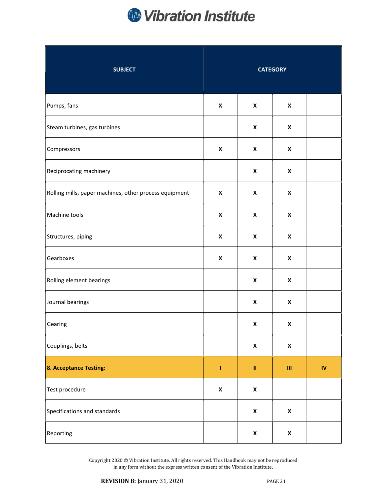

| <b>SUBJECT</b>                                         | <b>CATEGORY</b>    |                    |                                    |                            |
|--------------------------------------------------------|--------------------|--------------------|------------------------------------|----------------------------|
| Pumps, fans                                            | $\pmb{\mathsf{X}}$ | $\pmb{\mathsf{X}}$ | $\boldsymbol{x}$                   |                            |
| Steam turbines, gas turbines                           |                    | X                  | $\pmb{\mathsf{X}}$                 |                            |
| Compressors                                            | X                  | X                  | $\pmb{\mathsf{X}}$                 |                            |
| Reciprocating machinery                                |                    | $\pmb{\mathsf{X}}$ | $\pmb{\mathsf{X}}$                 |                            |
| Rolling mills, paper machines, other process equipment | $\pmb{\mathsf{X}}$ | $\pmb{\mathsf{X}}$ | $\pmb{\mathsf{X}}$                 |                            |
| Machine tools                                          | $\pmb{\mathsf{x}}$ | $\pmb{\mathsf{X}}$ | $\pmb{\mathsf{X}}$                 |                            |
| Structures, piping                                     | $\pmb{\mathsf{x}}$ | X                  | $\pmb{\mathsf{X}}$                 |                            |
| Gearboxes                                              | $\pmb{\mathsf{X}}$ | $\pmb{\mathsf{X}}$ | $\pmb{\mathsf{X}}$                 |                            |
| Rolling element bearings                               |                    | $\pmb{\mathsf{X}}$ | $\pmb{\mathsf{X}}$                 |                            |
| Journal bearings                                       |                    | X                  | X                                  |                            |
| Gearing                                                |                    | X                  | $\pmb{\mathsf{x}}$                 |                            |
| Couplings, belts                                       |                    | $\pmb{\mathsf{x}}$ | $\pmb{\mathsf{X}}$                 |                            |
| 8. Acceptance Testing:                                 | Ī,                 | $\rm H$            | $\ensuremath{\mathsf{III}}\xspace$ | $\boldsymbol{\mathsf{IV}}$ |
| Test procedure                                         | $\pmb{\mathsf{x}}$ | $\pmb{\mathsf{x}}$ |                                    |                            |
| Specifications and standards                           |                    | $\pmb{\mathsf{x}}$ | $\pmb{\mathsf{x}}$                 |                            |
| Reporting                                              |                    | $\pmb{\mathsf{x}}$ | $\pmb{\mathsf{x}}$                 |                            |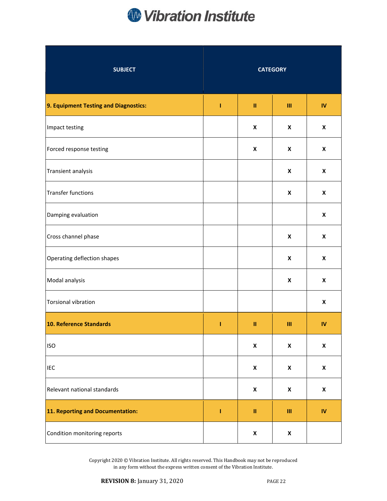

| <b>SUBJECT</b>                        | <b>CATEGORY</b> |                                                                                                                                                                                                                                                                                                                                                                                                                                                        |                    |                    |
|---------------------------------------|-----------------|--------------------------------------------------------------------------------------------------------------------------------------------------------------------------------------------------------------------------------------------------------------------------------------------------------------------------------------------------------------------------------------------------------------------------------------------------------|--------------------|--------------------|
| 9. Equipment Testing and Diagnostics: | I.              | $\rm H$                                                                                                                                                                                                                                                                                                                                                                                                                                                | Ш                  | $\mathbf{N}$       |
| Impact testing                        |                 | X                                                                                                                                                                                                                                                                                                                                                                                                                                                      | X                  | X                  |
| Forced response testing               |                 | X                                                                                                                                                                                                                                                                                                                                                                                                                                                      | X                  | X                  |
| Transient analysis                    |                 |                                                                                                                                                                                                                                                                                                                                                                                                                                                        | $\pmb{\mathsf{x}}$ | X                  |
| <b>Transfer functions</b>             |                 |                                                                                                                                                                                                                                                                                                                                                                                                                                                        | $\pmb{\mathsf{x}}$ | X                  |
| Damping evaluation                    |                 |                                                                                                                                                                                                                                                                                                                                                                                                                                                        |                    | X                  |
| Cross channel phase                   |                 |                                                                                                                                                                                                                                                                                                                                                                                                                                                        | $\pmb{\mathsf{x}}$ | X                  |
| Operating deflection shapes           |                 |                                                                                                                                                                                                                                                                                                                                                                                                                                                        | $\pmb{\mathsf{x}}$ | X                  |
| Modal analysis                        |                 |                                                                                                                                                                                                                                                                                                                                                                                                                                                        | $\pmb{\mathsf{X}}$ | $\pmb{\mathsf{X}}$ |
| <b>Torsional vibration</b>            |                 |                                                                                                                                                                                                                                                                                                                                                                                                                                                        |                    | X                  |
| 10. Reference Standards               | I               | $\mathbf{H}% =\mathbf{H}(\mathbf{Q}^{T}\times\mathbf{R}^{T}\times\mathbf{R}^{T}\times\mathbf{R}^{T}\times\mathbf{R}^{T}\times\mathbf{R}^{T}\times\mathbf{R}^{T}\times\mathbf{R}^{T}\times\mathbf{R}^{T}\times\mathbf{R}^{T}\times\mathbf{R}^{T}\times\mathbf{R}^{T}\times\mathbf{R}^{T}\times\mathbf{R}^{T}\times\mathbf{R}^{T}\times\mathbf{R}^{T}\times\mathbf{R}^{T}\times\mathbf{R}^{T}\times\mathbf{R}^{T}\times\mathbf{R}^{T}\times\mathbf{R}^{$ | Ш                  | $\mathsf{IV}$      |
| <b>ISO</b>                            |                 | $\pmb{\mathsf{X}}$                                                                                                                                                                                                                                                                                                                                                                                                                                     | $\pmb{\mathsf{X}}$ | $\pmb{\mathsf{X}}$ |
| IEC                                   |                 | $\pmb{\mathsf{x}}$                                                                                                                                                                                                                                                                                                                                                                                                                                     | $\pmb{\mathsf{x}}$ | $\pmb{\mathsf{X}}$ |
| Relevant national standards           |                 | $\pmb{\mathsf{x}}$                                                                                                                                                                                                                                                                                                                                                                                                                                     | $\pmb{\mathsf{X}}$ | $\pmb{\mathsf{X}}$ |
| 11. Reporting and Documentation:      | I               | $\mathbf{H}% =\mathbf{H}(\mathbf{Q}^{T}\times\mathbf{R}^{T}\times\mathbf{R}^{T}\times\mathbf{R}^{T}\times\mathbf{R}^{T}\times\mathbf{R}^{T}\times\mathbf{R}^{T}\times\mathbf{R}^{T}\times\mathbf{R}^{T}\times\mathbf{R}^{T}\times\mathbf{R}^{T}\times\mathbf{R}^{T}\times\mathbf{R}^{T}\times\mathbf{R}^{T}\times\mathbf{R}^{T}\times\mathbf{R}^{T}\times\mathbf{R}^{T}\times\mathbf{R}^{T}\times\mathbf{R}^{T}\times\mathbf{R}^{T}\times\mathbf{R}^{$ | $\mathbf{III}$     | ${\sf IV}$         |
| Condition monitoring reports          |                 | $\pmb{\mathsf{x}}$                                                                                                                                                                                                                                                                                                                                                                                                                                     | $\pmb{\mathsf{X}}$ |                    |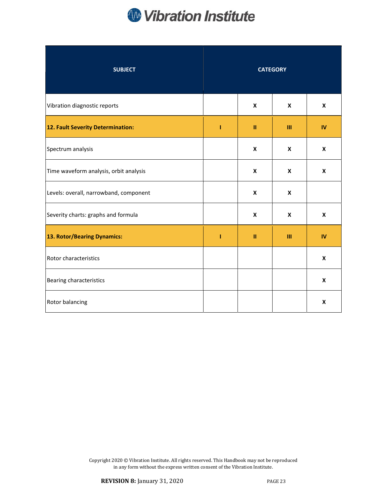

| <b>SUBJECT</b>                         | <b>CATEGORY</b> |               |                |                    |
|----------------------------------------|-----------------|---------------|----------------|--------------------|
| Vibration diagnostic reports           |                 | X             | X              | X                  |
| 12. Fault Severity Determination:      | т               | $\mathbf{II}$ | $\mathbf{m}$   | IV                 |
| Spectrum analysis                      |                 | X             | $\pmb{\times}$ | X                  |
| Time waveform analysis, orbit analysis |                 | X             | $\pmb{\times}$ | X                  |
| Levels: overall, narrowband, component |                 | X             | X              |                    |
| Severity charts: graphs and formula    |                 | X             | X              | X                  |
| 13. Rotor/Bearing Dynamics:            | т               | $\mathbf{II}$ | Ш              | IV                 |
| Rotor characteristics                  |                 |               |                | X                  |
| Bearing characteristics                |                 |               |                | X                  |
| Rotor balancing                        |                 |               |                | $\pmb{\mathsf{x}}$ |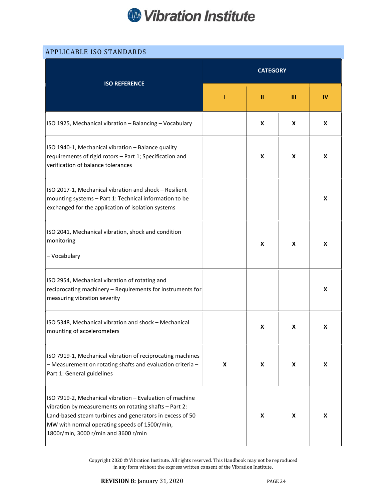

| <b>APPLICABLE ISO STANDARDS</b>                                                                                                                                                                                                                                         |                 |               |   |    |
|-------------------------------------------------------------------------------------------------------------------------------------------------------------------------------------------------------------------------------------------------------------------------|-----------------|---------------|---|----|
| <b>ISO REFERENCE</b>                                                                                                                                                                                                                                                    | <b>CATEGORY</b> |               |   |    |
|                                                                                                                                                                                                                                                                         | 1               | $\mathbf{II}$ | Ш | IV |
| ISO 1925, Mechanical vibration - Balancing - Vocabulary                                                                                                                                                                                                                 |                 | X             | X | X  |
| ISO 1940-1, Mechanical vibration - Balance quality<br>requirements of rigid rotors - Part 1; Specification and<br>verification of balance tolerances                                                                                                                    |                 | X             | X | X  |
| ISO 2017-1, Mechanical vibration and shock - Resilient<br>mounting systems - Part 1: Technical information to be<br>exchanged for the application of isolation systems                                                                                                  |                 |               |   | X  |
| ISO 2041, Mechanical vibration, shock and condition<br>monitoring<br>- Vocabulary                                                                                                                                                                                       |                 | X             | X | X  |
| ISO 2954, Mechanical vibration of rotating and<br>reciprocating machinery - Requirements for instruments for<br>measuring vibration severity                                                                                                                            |                 |               |   | X  |
| ISO 5348, Mechanical vibration and shock - Mechanical<br>mounting of accelerometers                                                                                                                                                                                     |                 | X             | x | х  |
| ISO 7919-1, Mechanical vibration of reciprocating machines<br>- Measurement on rotating shafts and evaluation criteria-<br>Part 1: General guidelines                                                                                                                   | X               | X             | X | X  |
| ISO 7919-2, Mechanical vibration - Evaluation of machine<br>vibration by measurements on rotating shafts - Part 2:<br>Land-based steam turbines and generators in excess of 50<br>MW with normal operating speeds of 1500r/min,<br>1800r/min, 3000 r/min and 3600 r/min |                 | X             | X | X  |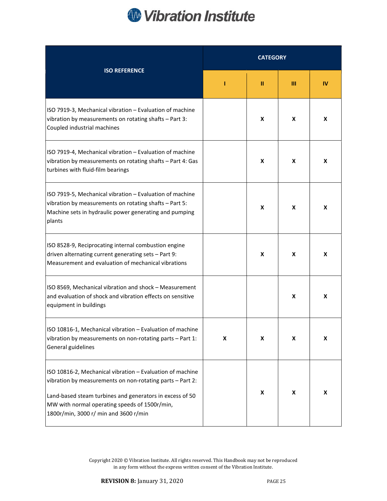

| <b>ISO REFERENCE</b>                                                                                                                                                                                                                                                         | <b>CATEGORY</b> |   |   |    |
|------------------------------------------------------------------------------------------------------------------------------------------------------------------------------------------------------------------------------------------------------------------------------|-----------------|---|---|----|
|                                                                                                                                                                                                                                                                              | п               | ш | Ш | IV |
| ISO 7919-3, Mechanical vibration - Evaluation of machine<br>vibration by measurements on rotating shafts - Part 3:<br>Coupled industrial machines                                                                                                                            |                 | X | X | X  |
| ISO 7919-4, Mechanical vibration - Evaluation of machine<br>vibration by measurements on rotating shafts - Part 4: Gas<br>turbines with fluid-film bearings                                                                                                                  |                 | X | X | X  |
| ISO 7919-5, Mechanical vibration - Evaluation of machine<br>vibration by measurements on rotating shafts - Part 5:<br>Machine sets in hydraulic power generating and pumping<br>plants                                                                                       |                 | X | X | X  |
| ISO 8528-9, Reciprocating internal combustion engine<br>driven alternating current generating sets - Part 9:<br>Measurement and evaluation of mechanical vibrations                                                                                                          |                 | X | X | X  |
| ISO 8569, Mechanical vibration and shock - Measurement<br>and evaluation of shock and vibration effects on sensitive<br>equipment in buildings                                                                                                                               |                 |   | X | X  |
| ISO 10816-1, Mechanical vibration - Evaluation of machine<br>vibration by measurements on non-rotating parts - Part 1:<br>General guidelines                                                                                                                                 | X               | X | X | X  |
| ISO 10816-2, Mechanical vibration - Evaluation of machine<br>vibration by measurements on non-rotating parts - Part 2:<br>Land-based steam turbines and generators in excess of 50<br>MW with normal operating speeds of 1500r/min,<br>1800r/min, 3000 r/ min and 3600 r/min |                 | X | X | X  |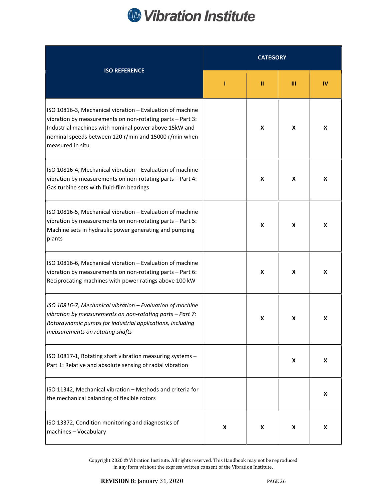# **W** Vibration Institute

| <b>ISO REFERENCE</b>                                                                                                                                                                                                                                         | <b>CATEGORY</b> |   |   |    |
|--------------------------------------------------------------------------------------------------------------------------------------------------------------------------------------------------------------------------------------------------------------|-----------------|---|---|----|
|                                                                                                                                                                                                                                                              | ı               | п | Ш | IV |
| ISO 10816-3, Mechanical vibration - Evaluation of machine<br>vibration by measurements on non-rotating parts - Part 3:<br>Industrial machines with nominal power above 15kW and<br>nominal speeds between 120 r/min and 15000 r/min when<br>measured in situ |                 | X | X | X  |
| ISO 10816-4, Mechanical vibration - Evaluation of machine<br>vibration by measurements on non-rotating parts - Part 4:<br>Gas turbine sets with fluid-film bearings                                                                                          |                 | X | X | X  |
| ISO 10816-5, Mechanical vibration - Evaluation of machine<br>vibration by measurements on non-rotating parts - Part 5:<br>Machine sets in hydraulic power generating and pumping<br>plants                                                                   |                 | X | X | X  |
| ISO 10816-6, Mechanical vibration - Evaluation of machine<br>vibration by measurements on non-rotating parts - Part 6:<br>Reciprocating machines with power ratings above 100 kW                                                                             |                 | X | X | X  |
| ISO 10816-7, Mechanical vibration - Evaluation of machine<br>vibration by measurements on non-rotating parts - Part 7:<br>Rotordynamic pumps for industrial applications, including<br>measurements on rotating shafts                                       |                 | X | X | X  |
| ISO 10817-1, Rotating shaft vibration measuring systems -<br>Part 1: Relative and absolute sensing of radial vibration                                                                                                                                       |                 |   | X | X  |
| ISO 11342, Mechanical vibration - Methods and criteria for<br>the mechanical balancing of flexible rotors                                                                                                                                                    |                 |   |   | X  |
| ISO 13372, Condition monitoring and diagnostics of<br>machines - Vocabulary                                                                                                                                                                                  | X               | X | X | X  |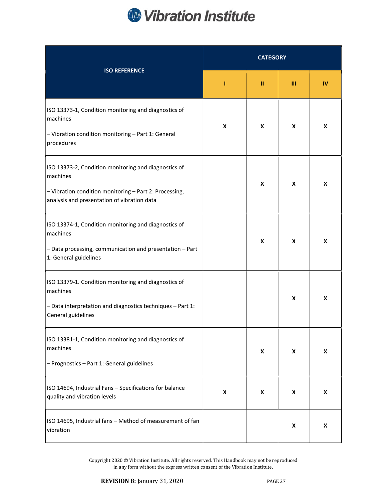

| <b>ISO REFERENCE</b>                                                                                                                                                      | <b>CATEGORY</b>    |   |   |    |
|---------------------------------------------------------------------------------------------------------------------------------------------------------------------------|--------------------|---|---|----|
|                                                                                                                                                                           | 1                  | ш | Ш | IV |
| ISO 13373-1, Condition monitoring and diagnostics of<br>machines<br>- Vibration condition monitoring - Part 1: General<br>procedures                                      | $\pmb{\mathsf{X}}$ | X | X | X  |
| ISO 13373-2, Condition monitoring and diagnostics of<br>machines<br>- Vibration condition monitoring - Part 2: Processing,<br>analysis and presentation of vibration data |                    | X | X | X  |
| ISO 13374-1, Condition monitoring and diagnostics of<br>machines<br>- Data processing, communication and presentation - Part<br>1: General guidelines                     |                    | X | X | X  |
| ISO 13379-1. Condition monitoring and diagnostics of<br>machines<br>- Data interpretation and diagnostics techniques - Part 1:<br>General guidelines                      |                    |   | X | X  |
| ISO 13381-1, Condition monitoring and diagnostics of<br>machines<br>- Prognostics - Part 1: General guidelines                                                            |                    | X | X | X  |
| ISO 14694, Industrial Fans - Specifications for balance<br>quality and vibration levels                                                                                   | X                  | X | X | X  |
| ISO 14695, Industrial fans - Method of measurement of fan<br>vibration                                                                                                    |                    |   | X | X  |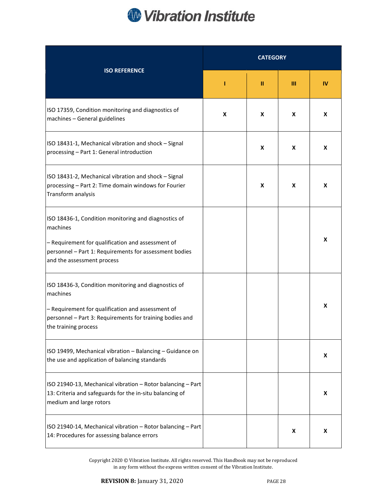

| <b>ISO REFERENCE</b>                                                                                                                                                                                          | <b>CATEGORY</b> |   |   |    |
|---------------------------------------------------------------------------------------------------------------------------------------------------------------------------------------------------------------|-----------------|---|---|----|
|                                                                                                                                                                                                               | п               | ш | Ш | IV |
| ISO 17359, Condition monitoring and diagnostics of<br>machines - General guidelines                                                                                                                           | X               | X | X | X  |
| ISO 18431-1, Mechanical vibration and shock - Signal<br>processing - Part 1: General introduction                                                                                                             |                 | X | X | X  |
| ISO 18431-2, Mechanical vibration and shock - Signal<br>processing - Part 2: Time domain windows for Fourier<br>Transform analysis                                                                            |                 | X | X | X  |
| ISO 18436-1, Condition monitoring and diagnostics of<br>machines<br>- Requirement for qualification and assessment of<br>personnel - Part 1: Requirements for assessment bodies<br>and the assessment process |                 |   |   | X  |
| ISO 18436-3, Condition monitoring and diagnostics of<br>machines<br>- Requirement for qualification and assessment of<br>personnel - Part 3: Requirements for training bodies and<br>the training process     |                 |   |   | X  |
| ISO 19499, Mechanical vibration - Balancing - Guidance on<br>the use and application of balancing standards                                                                                                   |                 |   |   | X  |
| ISO 21940-13, Mechanical vibration - Rotor balancing - Part<br>13: Criteria and safeguards for the in-situ balancing of<br>medium and large rotors                                                            |                 |   |   | X  |
| ISO 21940-14, Mechanical vibration - Rotor balancing - Part<br>14: Procedures for assessing balance errors                                                                                                    |                 |   | X | X  |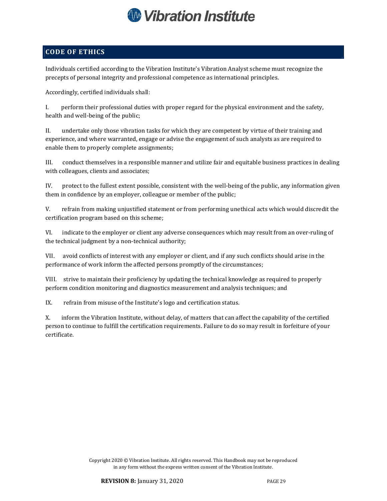

## CODE OF ETHICS

Individuals certified according to the Vibration Institute's Vibration Analyst scheme must recognize the precepts of personal integrity and professional competence as international principles.

Accordingly, certified individuals shall:

I. perform their professional duties with proper regard for the physical environment and the safety, health and well-being of the public;

II. undertake only those vibration tasks for which they are competent by virtue of their training and experience, and where warranted, engage or advise the engagement of such analysts as are required to enable them to properly complete assignments;

III. conduct themselves in a responsible manner and utilize fair and equitable business practices in dealing with colleagues, clients and associates;

IV. protect to the fullest extent possible, consistent with the well-being of the public, any information given them in confidence by an employer, colleague or member of the public;

V. refrain from making unjustified statement or from performing unethical acts which would discredit the certification program based on this scheme;

VI. indicate to the employer or client any adverse consequences which may result from an over-ruling of the technical judgment by a non-technical authority;

VII. avoid conflicts of interest with any employer or client, and if any such conflicts should arise in the performance of work inform the affected persons promptly of the circumstances;

VIII. strive to maintain their proficiency by updating the technical knowledge as required to properly perform condition monitoring and diagnostics measurement and analysis techniques; and

IX. refrain from misuse of the Institute's logo and certification status.

X. inform the Vibration Institute, without delay, of matters that can affect the capability of the certified person to continue to fulfill the certification requirements. Failure to do so may result in forfeiture of your certificate.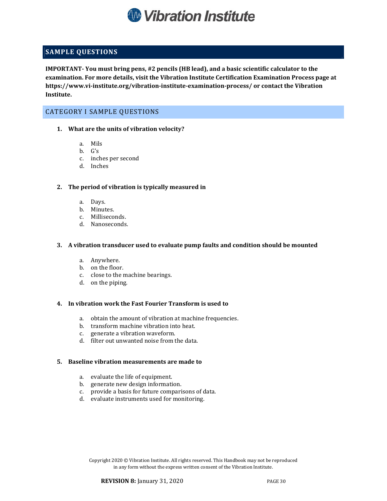

## SAMPLE QUESTIONS

IMPORTANT- You must bring pens, #2 pencils (HB lead), and a basic scientific calculator to the examination. For more details, visit the Vibration Institute Certification Examination Process page at https://www.vi-institute.org/vibration-institute-examination-process/ or contact the Vibration Institute.

### CATEGORY I SAMPLE QUESTIONS

- 1. What are the units of vibration velocity?
	- a. Mils
	- b. G's
	- c. inches per second
	- d. Inches

#### 2. The period of vibration is typically measured in

- a. Days.
- b. Minutes.
- c. Milliseconds.
- d. Nanoseconds.

#### 3. A vibration transducer used to evaluate pump faults and condition should be mounted

- a. Anywhere.
- b. on the floor.
- c. close to the machine bearings.
- d. on the piping.

#### 4. In vibration work the Fast Fourier Transform is used to

- a. obtain the amount of vibration at machine frequencies.
- b. transform machine vibration into heat.
- c. generate a vibration waveform.
- d. filter out unwanted noise from the data.

#### 5. Baseline vibration measurements are made to

- a. evaluate the life of equipment.
- b. generate new design information.
- c. provide a basis for future comparisons of data.
- d. evaluate instruments used for monitoring.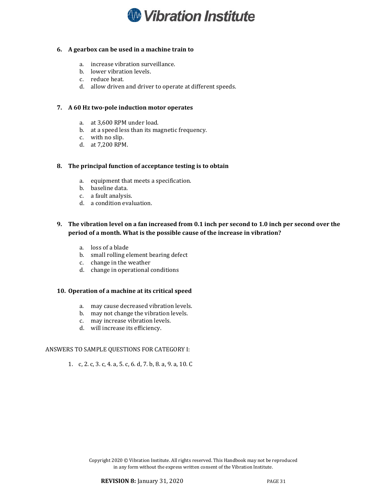

#### 6. A gearbox can be used in a machine train to

- a. increase vibration surveillance.
- b. lower vibration levels.
- c. reduce heat.
- d. allow driven and driver to operate at different speeds.

#### 7. A 60 Hz two-pole induction motor operates

- a. at 3,600 RPM under load.
- b. at a speed less than its magnetic frequency.
- c. with no slip.
- d. at 7,200 RPM.

#### 8. The principal function of acceptance testing is to obtain

- a. equipment that meets a specification.
- b. baseline data.
- c. a fault analysis.
- d. a condition evaluation.

#### 9. The vibration level on a fan increased from 0.1 inch per second to 1.0 inch per second over the period of a month. What is the possible cause of the increase in vibration?

- a. loss of a blade
- b. small rolling element bearing defect
- c. change in the weather
- d. change in operational conditions

#### 10. Operation of a machine at its critical speed

- a. may cause decreased vibration levels.
- b. may not change the vibration levels.
- c. may increase vibration levels.
- d. will increase its efficiency.

#### ANSWERS TO SAMPLE QUESTIONS FOR CATEGORY I:

1. c, 2. c, 3. c, 4. a, 5. c, 6. d, 7. b, 8. a, 9. a, 10. C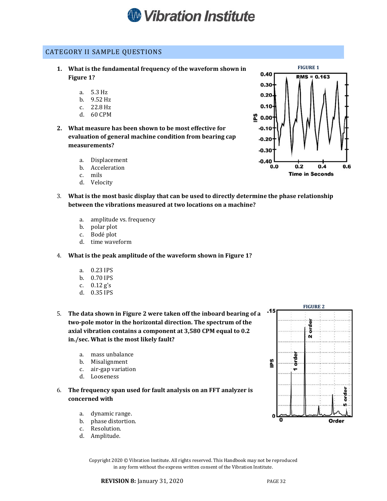

#### CATEGORY II SAMPLE QUESTIONS

- 1. What is the fundamental frequency of the waveform shown in Figure 1?
	- a. 5.3 Hz
	- b. 9.52 Hz
	- c. 22.8 Hz
	- d. 60 CPM
- 2. What measure has been shown to be most effective for evaluation of general machine condition from bearing cap measurements?
	- a. Displacement
	- b. Acceleration
	- c. mils
	- d. Velocity
- 3. What is the most basic display that can be used to directly determine the phase relationship between the vibrations measured at two locations on a machine?
	- a. amplitude vs. frequency
	- b. polar plot
	- c. Bodé plot
	- d. time waveform
- 4. What is the peak amplitude of the waveform shown in Figure 1?
	- a. 0.23 IPS
	- b. 0.70 IPS
	- c. 0.12 g's
	- d. 0.35 IPS
- 5. The data shown in Figure 2 were taken off the inboard bearing of a two-pole motor in the horizontal direction. The spectrum of the axial vibration contains a component at 3,580 CPM equal to 0.2 in./sec. What is the most likely fault?
	- a. mass unbalance
	- b. Misalignment<br>c. air-gap variati
	- air-gap variation
	- d. Looseness
- 6. The frequency span used for fault analysis on an FFT analyzer is concerned with
	- a. dynamic range.
	- b. phase distortion.
	- c. Resolution.
	- d. Amplitude.



FIGURE 1

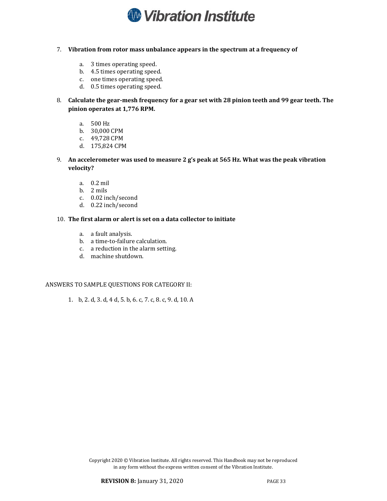

#### 7. Vibration from rotor mass unbalance appears in the spectrum at a frequency of

- a. 3 times operating speed.
- b. 4.5 times operating speed.
- c. one times operating speed.
- d. 0.5 times operating speed.
- 8. Calculate the gear-mesh frequency for a gear set with 28 pinion teeth and 99 gear teeth. The pinion operates at 1,776 RPM.
	- a. 500 Hz
	- b. 30,000 CPM
	- c. 49,728 CPM
	- d. 175,824 CPM
- 9. An accelerometer was used to measure 2 g's peak at 565 Hz. What was the peak vibration velocity?
	- a. 0.2 mil
	- b. 2 mils
	- c. 0.02 inch/second
	- d. 0.22 inch/second

#### 10. The first alarm or alert is set on a data collector to initiate

- a. a fault analysis.
- b. a time-to-failure calculation.
- c. a reduction in the alarm setting.
- d. machine shutdown.

#### ANSWERS TO SAMPLE QUESTIONS FOR CATEGORY II:

1. b, 2. d, 3. d, 4 d, 5. b, 6. c, 7. c, 8. c, 9. d, 10. A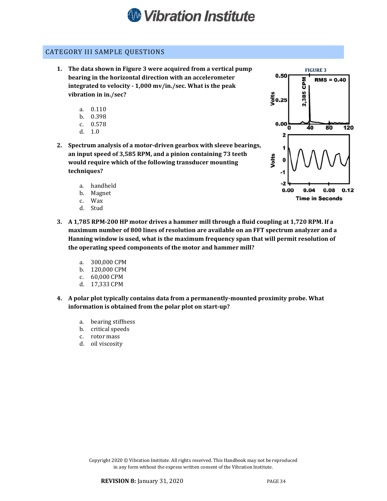

#### CATEGORY III SAMPLE QUESTIONS

- 1. The data shown in Figure 3 were acquired from a vertical pump bearing in the horizontal direction with an accelerometer integrated to velocity - 1,000 mv/in./sec. What is the peak vibration in in./sec?
	- a. 0.110
	- b. 0.398
	- c. 0.578
	- d. 1.0
- 2. Spectrum analysis of a motor-driven gearbox with sleeve bearings, an input speed of 3,585 RPM, and a pinion containing 73 teeth would require which of the following transducer mounting techniques?
	- a. handheld
	- b. Magnet
	- Wax
	- d. Stud
- 3. A 1,785 RPM-200 HP motor drives a hammer mill through a fluid coupling at 1,720 RPM. If a maximum number of 800 lines of resolution are available on an FFT spectrum analyzer and a Hanning window is used, what is the maximum frequency span that will permit resolution of the operating speed components of the motor and hammer mill?
	- a. 300,000 CPM
	- b. 120,000 CPM<br>c. 60,000 CPM
	- 60,000 CPM
	- d. 17,333 CPM
- 4. A polar plot typically contains data from a permanently-mounted proximity probe. What information is obtained from the polar plot on start-up?
	- a. bearing stiffness
	- b. critical speeds
	- c. rotor mass
	- d. oil viscosity

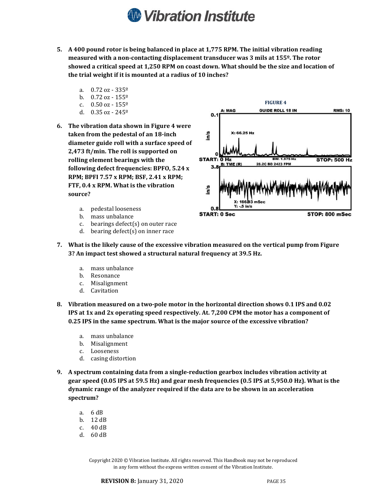## **W** Vibration Institute

- 5. A 400 pound rotor is being balanced in place at 1,775 RPM. The initial vibration reading measured with a non-contacting displacement transducer was 3 mils at 155º. The rotor showed a critical speed at 1,250 RPM on coast down. What should be the size and location of the trial weight if it is mounted at a radius of 10 inches?
	- a.  $0.72 \text{ oz} 335^{\circ}$
	- b.  $0.72 \text{ oz} 155^{\circ}$
	- c.  $0.50$  oz  $155^{\circ}$
	- d. 0.35 oz 245º
- 6. The vibration data shown in Figure 4 were taken from the pedestal of an 18-inch diameter guide roll with a surface speed of 2,473 ft/min. The roll is supported on rolling element bearings with the following defect frequencies: BPFO, 5.24 x RPM; BPFI 7.57 x RPM; BSF, 2.41 x RPM; FTF, 0.4 x RPM. What is the vibration source?
	- a. pedestal looseness
	- b. mass unbalance<br>c. bearings defect
	- bearings defect(s) on outer race
	- d. bearing defect(s) on inner race



- 7. What is the likely cause of the excessive vibration measured on the vertical pump from Figure 3? An impact test showed a structural natural frequency at 39.5 Hz.
	- a. mass unbalance
	- b. Resonance<br>c. Misalignme
	- Misalignment
	- d. Cavitation
- 8. Vibration measured on a two-pole motor in the horizontal direction shows 0.1 IPS and 0.02 IPS at 1x and 2x operating speed respectively. At. 7,200 CPM the motor has a component of 0.25 IPS in the same spectrum. What is the major source of the excessive vibration?
	- a. mass unbalance
	- b. Misalignment
	- c. Looseness
	- d. casing distortion
- 9. A spectrum containing data from a single-reduction gearbox includes vibration activity at gear speed (0.05 IPS at 59.5 Hz) and gear mesh frequencies (0.5 IPS at 5,950.0 Hz). What is the dynamic range of the analyzer required if the data are to be shown in an acceleration spectrum?
	- a. 6 dB
	- b. 12 dB
	- c. 40 dB
	- d. 60 dB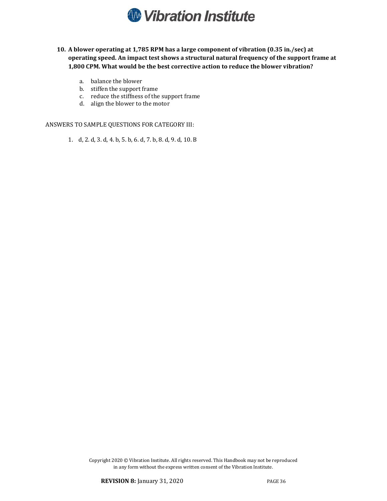

- 10. A blower operating at 1,785 RPM has a large component of vibration (0.35 in./sec) at operating speed. An impact test shows a structural natural frequency of the support frame at 1,800 CPM. What would be the best corrective action to reduce the blower vibration?
	- a. balance the blower
	- b. stiffen the support frame
	- c. reduce the stiffness of the support frame
	- d. align the blower to the motor

ANSWERS TO SAMPLE QUESTIONS FOR CATEGORY III:

1. d, 2. d, 3. d, 4. b, 5. b, 6. d, 7. b, 8. d, 9. d, 10. B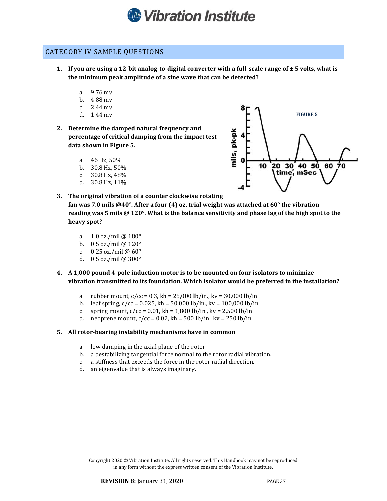

#### CATEGORY IV SAMPLE QUESTIONS

- 1. If you are using a 12-bit analog-to-digital converter with a full-scale range of  $\pm$  5 volts, what is the minimum peak amplitude of a sine wave that can be detected?
	- a. 9.76 mv
	- b. 4.88 mv
	- c. 2.44 mv
	- d. 1.44 mv
- 2. Determine the damped natural frequency and percentage of critical damping from the impact test data shown in Figure 5.
	- a. 46 Hz, 50%
	- b. 30.8 Hz, 50%
	- c. 30.8 Hz, 48%
	- d. 30.8 Hz, 11%



- 3. The original vibration of a counter clockwise rotating fan was 7.0 mils @40°. After a four (4) oz. trial weight was attached at  $60^{\circ}$  the vibration reading was 5 mils @ 120°. What is the balance sensitivity and phase lag of the high spot to the heavy spot?
	- a. 1.0 oz./mil @ 180°
	- b. 0.5 oz./mil @ 120°
	- c. 0.25 oz./mil @ 60°
	- d. 0.5 oz./mil @ 300°
- 4. A 1,000 pound 4-pole induction motor is to be mounted on four isolators to minimize vibration transmitted to its foundation. Which isolator would be preferred in the installation?
	- a. rubber mount,  $c/cc = 0.3$ , kh = 25,000 lb/in., kv = 30,000 lb/in.<br>b. leaf spring,  $c/cc = 0.025$ , kh = 50,000 lb/in., kv = 100,000 lb/in.
	- leaf spring,  $c/cc = 0.025$ , kh = 50,000 lb/in., kv = 100,000 lb/in.
	- c. spring mount,  $c/cc = 0.01$ , kh = 1,800 lb/in., kv = 2,500 lb/in.
	- d. neoprene mount,  $c/cc = 0.02$ , kh = 500 lb/in., kv = 250 lb/in.

#### 5. All rotor-bearing instability mechanisms have in common

- a. low damping in the axial plane of the rotor.
- b. a destabilizing tangential force normal to the rotor radial vibration.
- c. a stiffness that exceeds the force in the rotor radial direction.
- d. an eigenvalue that is always imaginary.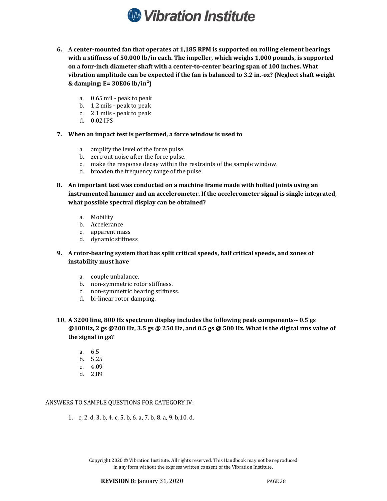

- 6. A center-mounted fan that operates at 1,185 RPM is supported on rolling element bearings with a stiffness of 50,000 lb/in each. The impeller, which weighs 1,000 pounds, is supported on a four-inch diameter shaft with a center-to-center bearing span of 100 inches. What vibration amplitude can be expected if the fan is balanced to 3.2 in.-oz? (Neglect shaft weight & damping;  $E = 30E06$  lb/in<sup>2</sup>)
	- a. 0.65 mil peak to peak
	- b. 1.2 mils peak to peak
	- c. 2.1 mils peak to peak
	- d. 0.02 IPS
- 7. When an impact test is performed, a force window is used to
	- a. amplify the level of the force pulse.
	- b. zero out noise after the force pulse.
	- c. make the response decay within the restraints of the sample window.
	- d. broaden the frequency range of the pulse.
- 8. An important test was conducted on a machine frame made with bolted joints using an instrumented hammer and an accelerometer. If the accelerometer signal is single integrated, what possible spectral display can be obtained?
	- a. Mobility
	- b. Accelerance
	- c. apparent mass
	- d. dynamic stiffness
- 9. A rotor-bearing system that has split critical speeds, half critical speeds, and zones of instability must have
	- a. couple unbalance.
	- b. non-symmetric rotor stiffness.
	- c. non-symmetric bearing stiffness.
	- d. bi-linear rotor damping.
- 10. A 3200 line, 800 Hz spectrum display includes the following peak components-- 0.5 gs  $@100$ Hz, 2 gs  $@200$  Hz, 3.5 gs  $@250$  Hz, and 0.5 gs  $@500$  Hz. What is the digital rms value of the signal in gs?
	- a. 6.5
	- b. 5.25
	- c. 4.09
	- d. 2.89

#### ANSWERS TO SAMPLE QUESTIONS FOR CATEGORY IV:

1. c, 2. d, 3. b, 4. c, 5. b, 6. a, 7. b, 8. a, 9. b,10. d.